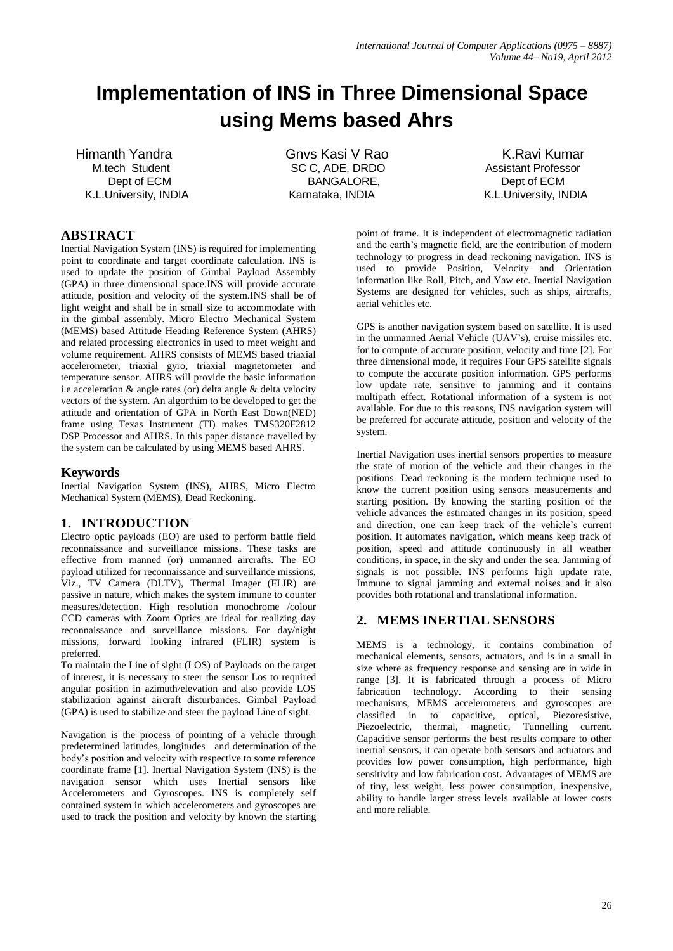# **Implementation of INS in Three Dimensional Space using Mems based Ahrs**

Himanth Yandra **Gnvs Kasi V Rao** K.Ravi Kumar K.L.University, INDIA Karnataka, INDIA K.L.University, INDIA

M.tech Student **SC C, ADE, DRDO** Assistant Professor Dept of ECM BANGALORE, BANGALORE, Dept of ECM

## **ABSTRACT**

Inertial Navigation System (INS) is required for implementing point to coordinate and target coordinate calculation. INS is used to update the position of Gimbal Payload Assembly (GPA) in three dimensional space.INS will provide accurate attitude, position and velocity of the system.INS shall be of light weight and shall be in small size to accommodate with in the gimbal assembly. Micro Electro Mechanical System (MEMS) based Attitude Heading Reference System (AHRS) and related processing electronics in used to meet weight and volume requirement. AHRS consists of MEMS based triaxial accelerometer, triaxial gyro, triaxial magnetometer and temperature sensor. AHRS will provide the basic information i.e acceleration & angle rates (or) delta angle & delta velocity vectors of the system. An algorthim to be developed to get the attitude and orientation of GPA in North East Down(NED) frame using Texas Instrument (TI) makes TMS320F2812 DSP Processor and AHRS. In this paper distance travelled by the system can be calculated by using MEMS based AHRS.

## **Keywords**

Inertial Navigation System (INS), AHRS, Micro Electro Mechanical System (MEMS), Dead Reckoning.

## **1. INTRODUCTION**

Electro optic payloads (EO) are used to perform battle field reconnaissance and surveillance missions. These tasks are effective from manned (or) unmanned aircrafts. The EO payload utilized for reconnaissance and surveillance missions, Viz., TV Camera (DLTV), Thermal Imager (FLIR) are passive in nature, which makes the system immune to counter measures/detection. High resolution monochrome /colour CCD cameras with Zoom Optics are ideal for realizing day reconnaissance and surveillance missions. For day/night missions, forward looking infrared (FLIR) system is preferred.

To maintain the Line of sight (LOS) of Payloads on the target of interest, it is necessary to steer the sensor Los to required angular position in azimuth/elevation and also provide LOS stabilization against aircraft disturbances. Gimbal Payload (GPA) is used to stabilize and steer the payload Line of sight.

Navigation is the process of pointing of a vehicle through predetermined latitudes, longitudes and determination of the body"s position and velocity with respective to some reference coordinate frame [1]. Inertial Navigation System (INS) is the navigation sensor which uses Inertial sensors like Accelerometers and Gyroscopes. INS is completely self contained system in which accelerometers and gyroscopes are used to track the position and velocity by known the starting point of frame. It is independent of electromagnetic radiation and the earth"s magnetic field, are the contribution of modern technology to progress in dead reckoning navigation. INS is used to provide Position, Velocity and Orientation information like Roll, Pitch, and Yaw etc. Inertial Navigation Systems are designed for vehicles, such as ships, aircrafts, aerial vehicles etc.

GPS is another navigation system based on satellite. It is used in the unmanned Aerial Vehicle (UAV"s), cruise missiles etc. for to compute of accurate position, velocity and time [2]. For three dimensional mode, it requires Four GPS satellite signals to compute the accurate position information. GPS performs low update rate, sensitive to jamming and it contains multipath effect. Rotational information of a system is not available. For due to this reasons, INS navigation system will be preferred for accurate attitude, position and velocity of the system.

Inertial Navigation uses inertial sensors properties to measure the state of motion of the vehicle and their changes in the positions. Dead reckoning is the modern technique used to know the current position using sensors measurements and starting position. By knowing the starting position of the vehicle advances the estimated changes in its position, speed and direction, one can keep track of the vehicle's current position. It automates navigation, which means keep track of position, speed and attitude continuously in all weather conditions, in space, in the sky and under the sea. Jamming of signals is not possible. INS performs high update rate, Immune to signal jamming and external noises and it also provides both rotational and translational information.

## **2. MEMS INERTIAL SENSORS**

MEMS is a technology, it contains combination of mechanical elements, sensors, actuators, and is in a small in size where as frequency response and sensing are in wide in range [3]. It is fabricated through a process of Micro fabrication technology. According to their sensing mechanisms, MEMS accelerometers and gyroscopes are classified in to capacitive, optical, Piezoresistive, Piezoelectric, thermal, magnetic, Tunnelling current. Capacitive sensor performs the best results compare to other inertial sensors, it can operate both sensors and actuators and provides low power consumption, high performance, high sensitivity and low fabrication cost. Advantages of MEMS are of tiny, less weight, less power consumption, inexpensive, ability to handle larger stress levels available at lower costs and more reliable.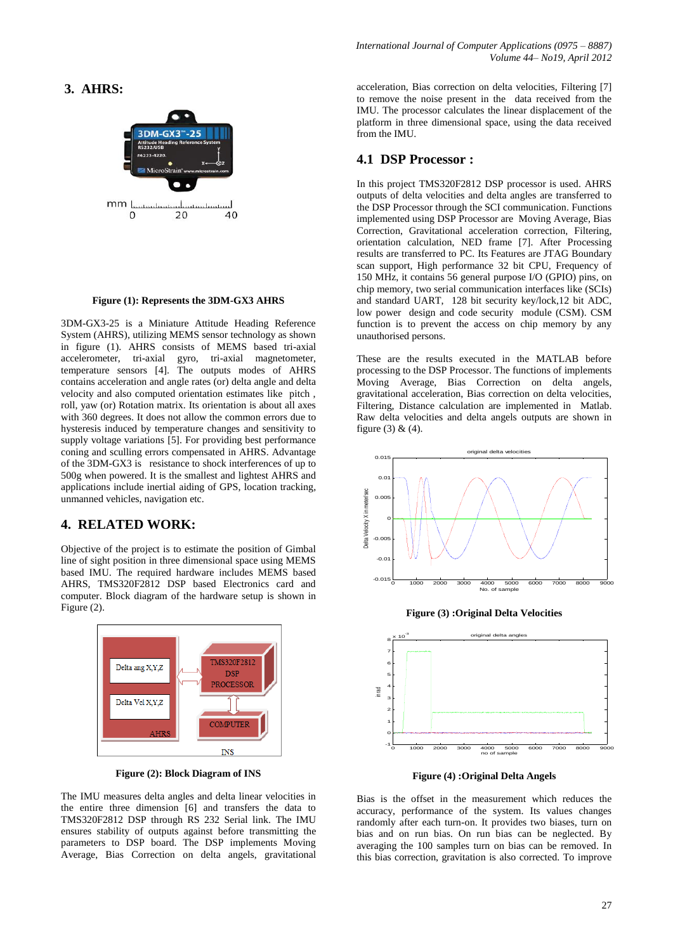## **3. AHRS:**



#### **Figure (1): Represents the 3DM-GX3 AHRS**

3DM-GX3-25 is a Miniature Attitude Heading Reference System (AHRS), utilizing MEMS sensor technology as shown in figure (1). AHRS consists of MEMS based tri-axial accelerometer, tri-axial gyro, tri-axial magnetometer, temperature sensors [4]. The outputs modes of AHRS contains acceleration and angle rates (or) delta angle and delta velocity and also computed orientation estimates like pitch , roll, yaw (or) Rotation matrix. Its orientation is about all axes with 360 degrees. It does not allow the common errors due to hysteresis induced by temperature changes and sensitivity to supply voltage variations [5]. For providing best performance coning and sculling errors compensated in AHRS. Advantage of the 3DM-GX3 is resistance to shock interferences of up to 500g when powered. It is the smallest and lightest AHRS and applications include inertial aiding of GPS, location tracking, unmanned vehicles, navigation etc.

#### **4. RELATED WORK:**

Objective of the project is to estimate the position of Gimbal line of sight position in three dimensional space using MEMS based IMU. The required hardware includes MEMS based AHRS, TMS320F2812 DSP based Electronics card and computer. Block diagram of the hardware setup is shown in Figure (2).



**Figure (2): Block Diagram of INS**

The IMU measures delta angles and delta linear velocities in the entire three dimension [6] and transfers the data to TMS320F2812 DSP through RS 232 Serial link. The IMU ensures stability of outputs against before transmitting the parameters to DSP board. The DSP implements Moving Average, Bias Correction on delta angels, gravitational acceleration, Bias correction on delta velocities, Filtering [7] to remove the noise present in the data received from the IMU. The processor calculates the linear displacement of the platform in three dimensional space, using the data received from the IMU.

### **4.1 DSP Processor :**

In this project TMS320F2812 DSP processor is used. AHRS outputs of delta velocities and delta angles are transferred to the DSP Processor through the SCI communication. Functions implemented using DSP Processor are Moving Average, Bias Correction, Gravitational acceleration correction, Filtering, orientation calculation, NED frame [7]. After Processing results are transferred to PC. Its Features are JTAG Boundary scan support, High performance 32 bit CPU, Frequency of 150 MHz, it contains 56 general purpose I/O (GPIO) pins, on chip memory, two serial communication interfaces like (SCIs) and standard UART, 128 bit security key/lock,12 bit ADC, low power design and code security module (CSM). CSM function is to prevent the access on chip memory by any unauthorised persons.

These are the results executed in the MATLAB before processing to the DSP Processor. The functions of implements Moving Average, Bias Correction on delta angels, gravitational acceleration, Bias correction on delta velocities, Filtering, Distance calculation are implemented in Matlab. Raw delta velocities and delta angels outputs are shown in figure (3)  $& (4)$ .



**Figure (3) :Original Delta Velocities**



**Figure (4) :Original Delta Angels**

Bias is the offset in the measurement which reduces the accuracy, performance of the system. Its values changes randomly after each turn-on. It provides two biases, turn on bias and on run bias. On run bias can be neglected. By averaging the 100 samples turn on bias can be removed. In this bias correction, gravitation is also corrected. To improve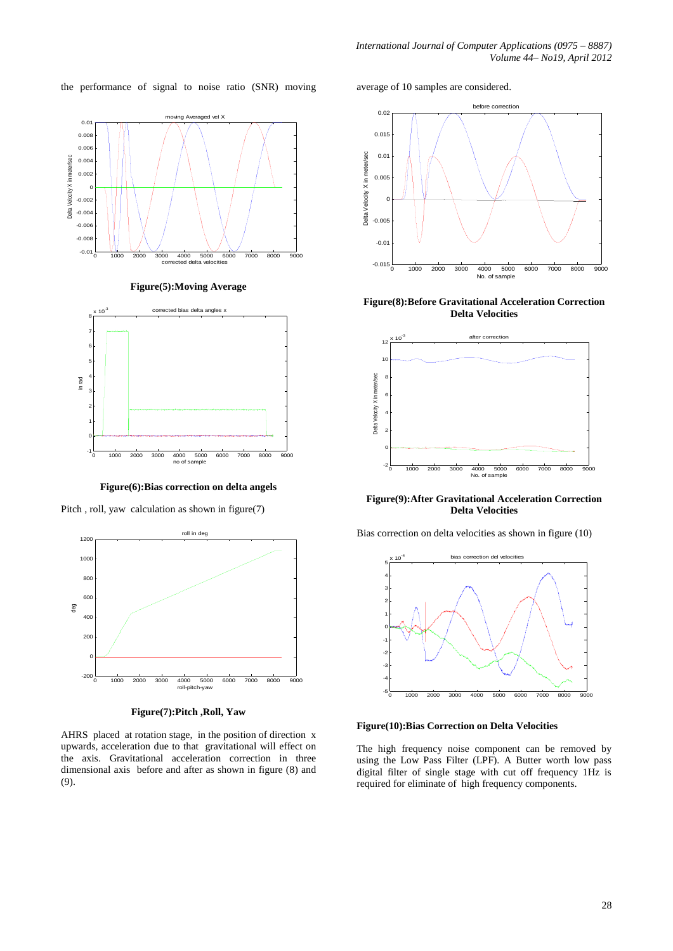the performance of signal to noise ratio (SNR) moving average of 10 samples are considered.



**Figure(5):Moving Average**



**Figure(6):Bias correction on delta angels**

Pitch , roll, yaw calculation as shown in figure(7)



**Figure(7):Pitch ,Roll, Yaw**

AHRS placed at rotation stage, in the position of direction x upwards, acceleration due to that gravitational will effect on the axis. Gravitational acceleration correction in three dimensional axis before and after as shown in figure (8) and (9).



**Figure(8):Before Gravitational Acceleration Correction Delta Velocities**



**Figure(9):After Gravitational Acceleration Correction Delta Velocities**

Bias correction on delta velocities as shown in figure (10)



**Figure(10):Bias Correction on Delta Velocities**

The high frequency noise component can be removed by using the Low Pass Filter (LPF). A Butter worth low pass digital filter of single stage with cut off frequency 1Hz is required for eliminate of high frequency components.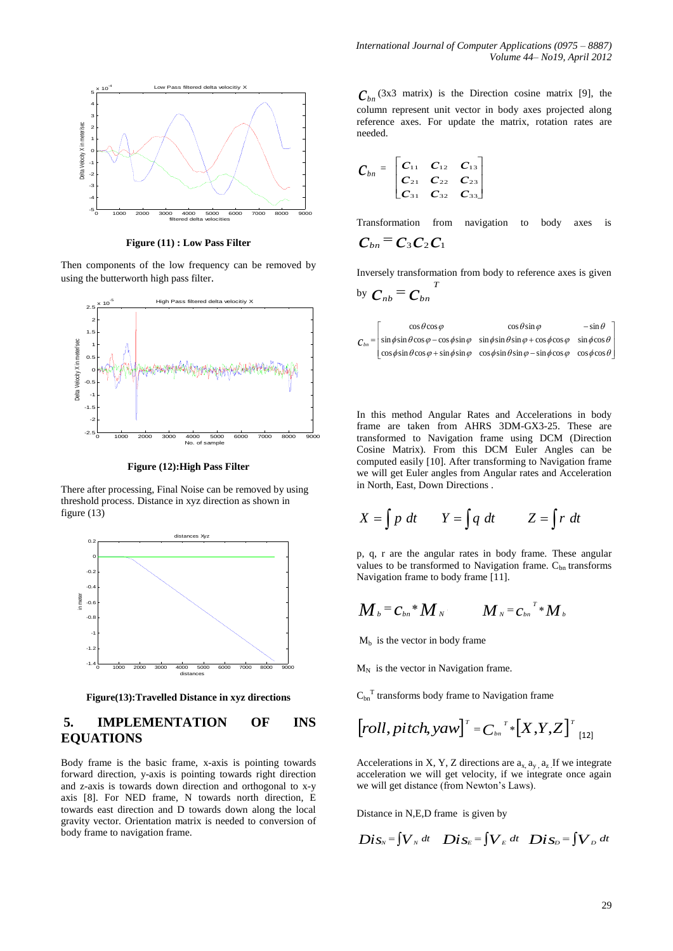

**Figure (11) : Low Pass Filter**

Then components of the low frequency can be removed by using the butterworth high pass filter.



**Figure (12):High Pass Filter**

There after processing, Final Noise can be removed by using threshold process. Distance in xyz direction as shown in figure (13)



**Figure(13):Travelled Distance in xyz directions**

## **5. IMPLEMENTATION OF INS EQUATIONS**

Body frame is the basic frame, x-axis is pointing towards forward direction, y-axis is pointing towards right direction and z-axis is towards down direction and orthogonal to x-y axis [8]. For NED frame, N towards north direction, E towards east direction and D towards down along the local gravity vector. Orientation matrix is needed to conversion of body frame to navigation frame.

 $C_{bn}$ <sup>(3x3</sup> matrix) is the Direction cosine matrix [9], the column represent unit vector in body axes projected along reference axes. For update the matrix, rotation rates are needed.

$$
C_{bn} = \begin{bmatrix} C_{11} & C_{12} & C_{13} \\ C_{21} & C_{22} & C_{23} \\ C_{31} & C_{32} & C_{33} \end{bmatrix}
$$

Transformation from navigation to body axes is  $C_{bn}$ <sup>=</sup>  $C_3$   $C_2$   $C_1$ 

Inversely transformation from body to reference axes is given *T*

by 
$$
C_{nb} = C_{bn}
$$

| $\cos \theta \cos \varphi$ | $\cos\theta\sin\varphi$                                                                                                                                    | $-\sin\theta$ |
|----------------------------|------------------------------------------------------------------------------------------------------------------------------------------------------------|---------------|
|                            | $C_{bn}$ = $\sin \phi \sin \theta \cos \varphi - \cos \phi \sin \varphi \sin \phi \sin \theta \sin \varphi + \cos \phi \cos \varphi \sin \phi \cos \theta$ |               |
|                            | $\cos \phi \sin \theta \cos \varphi + \sin \phi \sin \varphi \cos \phi \sin \theta \sin \varphi - \sin \phi \cos \varphi \cos \phi \cos \theta$            |               |

In this method Angular Rates and Accelerations in body frame are taken from AHRS 3DM-GX3-25. These are transformed to Navigation frame using DCM (Direction Cosine Matrix). From this DCM Euler Angles can be computed easily [10]. After transforming to Navigation frame we will get Euler angles from Angular rates and Acceleration in North, East, Down Directions .

$$
X = \int p \, dt \qquad Y = \int q \, dt \qquad Z = \int r \, dt
$$

p, q, r are the angular rates in body frame. These angular values to be transformed to Navigation frame.  $C_{bn}$  transforms Navigation frame to body frame [11].

$$
M_{b} = C_{bn} * M_{N} \qquad M_{N} = C_{bn}^{T} * M_{b}
$$

 $M_b$  is the vector in body frame

 $M_N$  is the vector in Navigation frame.

 $C_{bn}$ <sup>T</sup> transforms body frame to Navigation frame

$$
\left[ roll, pitch, yaw \right]^{\mathrm{\scriptscriptstyle T}} = C_{\mathrm{\scriptscriptstyle bn}}^{\mathrm{\scriptscriptstyle T}} \ast \left[ X, Y, Z \right]^{\mathrm{\scriptscriptstyle T}}_{\mathrm{\scriptscriptstyle [12]}}
$$

Accelerations in X, Y, Z directions are  $a_{x}$ ,  $a_{y}$ ,  $a_{z}$ . If we integrate acceleration we will get velocity, if we integrate once again we will get distance (from Newton"s Laws).

Distance in N,E,D frame is given by

$$
Dis_{N} = \int V_{N} dt \quad Dis_{E} = \int V_{E} dt \quad Dis_{D} = \int V_{D} dt
$$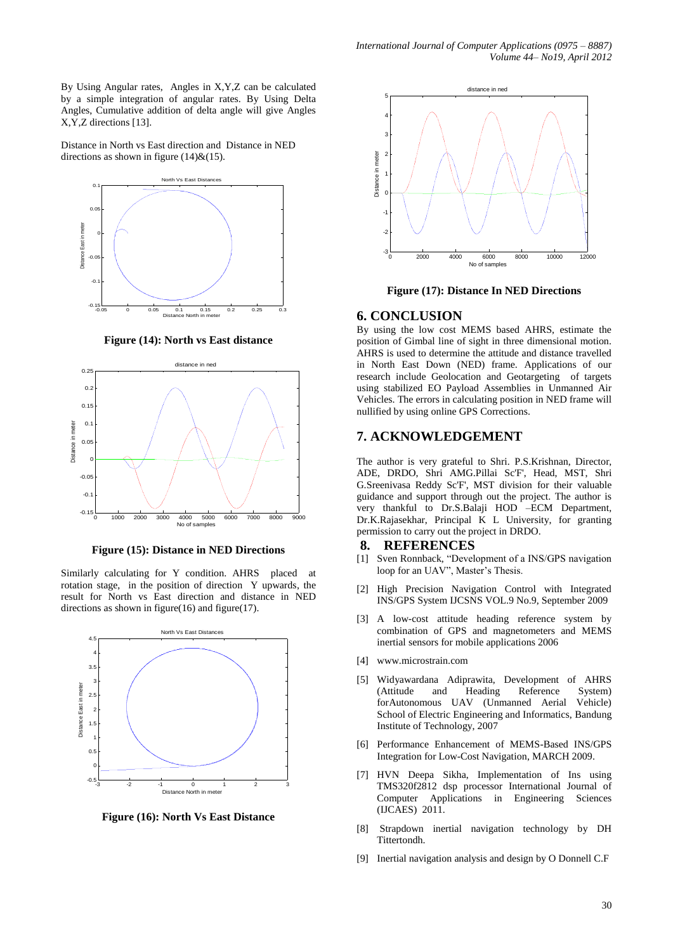By Using Angular rates, Angles in X,Y,Z can be calculated by a simple integration of angular rates. By Using Delta Angles, Cumulative addition of delta angle will give Angles X,Y,Z directions [13].

Distance in North vs East direction and Distance in NED directions as shown in figure  $(14)$ & $(15)$ .



**Figure (14): North vs East distance**



**Figure (15): Distance in NED Directions**

Similarly calculating for Y condition. AHRS placed at rotation stage, in the position of direction Y upwards, the result for North vs East direction and distance in NED directions as shown in figure $(16)$  and figure $(17)$ .



**Figure (16): North Vs East Distance** 



**Figure (17): Distance In NED Directions**

#### **6. CONCLUSION**

By using the low cost MEMS based AHRS, estimate the position of Gimbal line of sight in three dimensional motion. AHRS is used to determine the attitude and distance travelled in North East Down (NED) frame. Applications of our research include Geolocation and Geotargeting of targets using stabilized EO Payload Assemblies in Unmanned Air Vehicles. The errors in calculating position in NED frame will nullified by using online GPS Corrections.

### **7. ACKNOWLEDGEMENT**

The author is very grateful to Shri. P.S.Krishnan, Director, ADE, DRDO, Shri AMG.Pillai Sc'F', Head, MST, Shri G.Sreenivasa Reddy Sc'F', MST division for their valuable guidance and support through out the project. The author is very thankful to Dr.S.Balaji HOD –ECM Department, Dr.K.Rajasekhar, Principal K L University, for granting permission to carry out the project in DRDO.

#### **8. REFERENCES**

- [1] Sven Ronnback, "Development of a INS/GPS navigation loop for an UAV", Master's Thesis.
- [2] High Precision Navigation Control with Integrated INS/GPS System IJCSNS VOL.9 No.9, September 2009
- [3] A low-cost attitude heading reference system by combination of GPS and magnetometers and MEMS inertial sensors for mobile applications 2006
- [4] www.microstrain.com
- [5] Widyawardana Adiprawita, Development of AHRS (Attitude and Heading Reference System) forAutonomous UAV (Unmanned Aerial Vehicle) School of Electric Engineering and Informatics, Bandung Institute of Technology, 2007
- [6] Performance Enhancement of MEMS-Based INS/GPS Integration for Low-Cost Navigation, MARCH 2009.
- [7] HVN Deepa Sikha, Implementation of Ins using TMS320f2812 dsp processor International Journal of Computer Applications in Engineering Sciences (IJCAES) 2011.
- [8] Strapdown inertial navigation technology by DH Tittertondh.
- [9] Inertial navigation analysis and design by O Donnell C.F